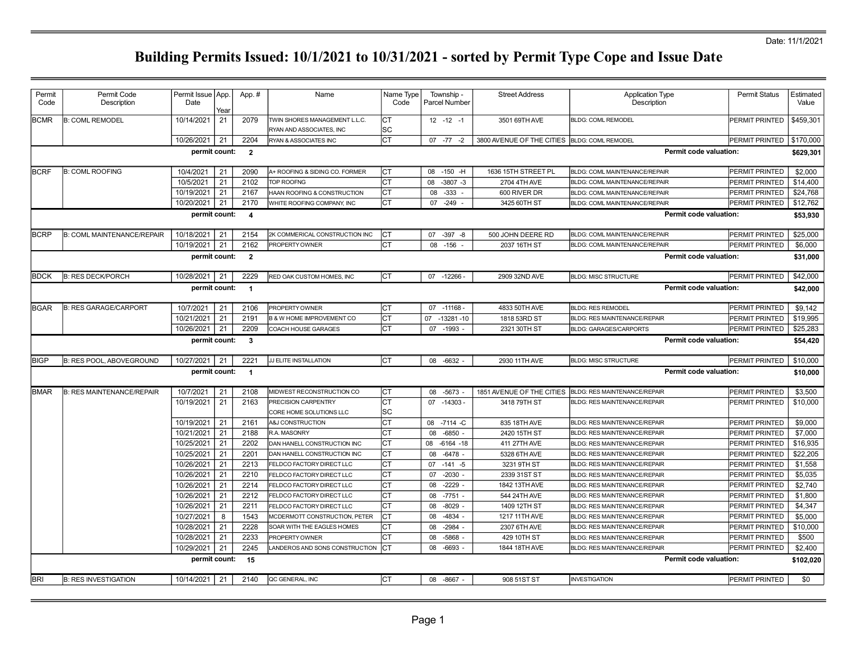| Permit<br>Code | Permit Code<br>Description        | Permit Issue   App.<br>Date | Year | App.#          | Name                                                      | Name Type<br>Code | Township -<br><b>Parcel Number</b> | <b>Street Address</b>     | <b>Application Type</b><br>Description | <b>Permit Status</b>  | Estimated<br>Value |
|----------------|-----------------------------------|-----------------------------|------|----------------|-----------------------------------------------------------|-------------------|------------------------------------|---------------------------|----------------------------------------|-----------------------|--------------------|
| <b>BCMR</b>    | <b>B: COML REMODEL</b>            | 10/14/2021                  | 21   | 2079           | TWIN SHORES MANAGEMENT L.L.C.<br>RYAN AND ASSOCIATES. INC | CT<br>SC          | $12 - 12 - 1$                      | 3501 69TH AVE             | <b>BLDG: COML REMODEL</b>              | PERMIT PRINTED        | \$459,301          |
|                |                                   | 10/26/2021                  | 21   | 2204           | RYAN & ASSOCIATES INC                                     | <b>CT</b>         | $07 - 77 - 2$                      | 3800 AVENUE OF THE CITIES | <b>BLDG: COML REMODEL</b>              | PERMIT PRINTED        | \$170,000          |
|                |                                   | permit count:               |      | $\overline{2}$ |                                                           |                   |                                    |                           | <b>Permit code valuation:</b>          |                       | \$629,301          |
| <b>BCRF</b>    | <b>B: COML ROOFING</b>            | 10/4/2021                   | 21   | 2090           | 4+ ROOFING & SIDING CO. FORMER                            | Iст               | $-150$ -H<br>08                    | 1636 15TH STREET PL       | <b>BLDG: COML MAINTENANCE/REPAIR</b>   | PERMIT PRINTED        | \$2,000            |
|                |                                   | 10/5/2021                   | 21   | 2102           | OP ROOFNG                                                 | СT                | 80<br>$-3807 -3$                   | 2704 4TH AVE              | BLDG: COML MAINTENANCE/REPAIR          | PERMIT PRINTED        | \$14,400           |
|                |                                   | 10/19/2021                  | 21   | 2167           | HAAN ROOFING & CONSTRUCTION                               | <b>CT</b>         | 08<br>$-333 -$                     | 600 RIVER DR              | BLDG: COML MAINTENANCE/REPAIR          | PERMIT PRINTED        | \$24,768           |
|                |                                   | 10/20/2021                  | 21   | 2170           | WHITE ROOFING COMPANY, INC                                | CT                | 07 -249                            | 3425 60TH ST              | BLDG: COML MAINTENANCE/REPAIR          | PERMIT PRINTED        | \$12,762           |
|                |                                   | permit count:               |      | $\overline{4}$ |                                                           |                   |                                    |                           | Permit code valuation:                 |                       | \$53,930           |
| <b>BCRP</b>    | <b>B: COML MAINTENANCE/REPAIR</b> | 10/18/2021                  | 21   | 2154           | 2K COMMERICAL CONSTRUCTION INC                            | Iст               | 07 - 397 - 8                       | 500 JOHN DEERE RD         | BLDG: COML MAINTENANCE/REPAIR          | PERMIT PRINTED        | \$25,000           |
|                |                                   | 10/19/2021                  | 21   | 2162           | PROPERTY OWNER                                            | <b>CT</b>         | 08<br>$-156$                       | 2037 16TH ST              | BLDG: COML MAINTENANCE/REPAIR          | PERMIT PRINTED        | \$6,000            |
|                |                                   | permit count:               |      | $\overline{2}$ |                                                           |                   |                                    |                           | Permit code valuation:                 |                       | \$31,000           |
| <b>BDCK</b>    | <b>B: RES DECK/PORCH</b>          | 10/28/2021                  | 21   | 2229           | RED OAK CUSTOM HOMES, INC                                 | lст               | 07 -12266                          | 2909 32ND AVE             | <b>BLDG: MISC STRUCTURE</b>            | PERMIT PRINTED        | \$42,000           |
|                |                                   | permit count:               |      | $\overline{1}$ |                                                           |                   |                                    |                           | <b>Permit code valuation:</b>          |                       | \$42,000           |
|                |                                   |                             |      |                |                                                           |                   |                                    |                           |                                        |                       |                    |
| <b>BGAR</b>    | <b>B: RES GARAGE/CARPORT</b>      | 10/7/2021                   | 21   | 2106           | PROPERTY OWNER                                            | Iст               | 07 -11168 -                        | 4833 50TH AVE             | <b>BLDG: RES REMODEL</b>               | PERMIT PRINTED        | \$9,142            |
|                |                                   | 10/21/2021                  | 21   | 2191           | <b>B &amp; W HOME IMPROVEMENT CO</b>                      | <b>CT</b>         | 07<br>$-13281 - 10$                | 1818 53RD ST              | <b>BLDG: RES MAINTENANCE/REPAIR</b>    | PERMIT PRINTED        | \$19,995           |
|                |                                   | 10/26/2021                  | 21   | 2209           | COACH HOUSE GARAGES                                       | <b>CT</b>         | 07 -1993                           | 2321 30TH ST              | <b>BLDG: GARAGES/CARPORTS</b>          | PERMIT PRINTED        | \$25,283           |
|                |                                   | permit count:               |      | $\mathbf{3}$   |                                                           |                   |                                    |                           | <b>Permit code valuation:</b>          |                       | \$54,420           |
| <b>BIGP</b>    | <b>B: RES POOL, ABOVEGROUND</b>   | 10/27/2021                  | 21   | 2221           | JJ ELITE INSTALLATION                                     | Іст               | 08 -6632                           | 2930 11TH AVE             | <b>BLDG: MISC STRUCTURE</b>            | PERMIT PRINTED        | \$10,000           |
|                |                                   | permit count:               |      | $\overline{1}$ |                                                           |                   |                                    |                           | <b>Permit code valuation:</b>          |                       | \$10,000           |
| <b>BMAR</b>    | <b>B: RES MAINTENANCE/REPAIR</b>  | 10/7/2021                   | 21   | 2108           | MIDWEST RECONSTRUCTION CO                                 | СT                | 08 -5673                           | 1851 AVENUE OF THE CITIES | <b>BLDG: RES MAINTENANCE/REPAIR</b>    | <b>PERMIT PRINTED</b> | \$3.500            |
|                |                                   | 10/19/2021                  | 21   | 2163           | <b>PRECISION CARPENTRY</b><br>CORE HOME SOLUTIONS LLC     | <b>CT</b><br>SC   | $07 - 14303$                       | 3418 79TH ST              | <b>BLDG: RES MAINTENANCE/REPAIR</b>    | PERMIT PRINTED        | \$10,000           |
|                |                                   | 10/19/2021                  | 21   | 2161           | <b>A&amp;J CONSTRUCTION</b>                               | <b>CT</b>         | 08<br>-7114 -C                     | 835 18TH AVE              | BLDG: RES MAINTENANCE/REPAIR           | PERMIT PRINTED        | \$9,000            |
|                |                                   | 10/21/2021                  | 21   | 2188           | R.A. MASONRY                                              | СT                | 08<br>$-6850$                      | 2420 15TH ST              | BLDG: RES MAINTENANCE/REPAIR           | PERMIT PRINTED        | \$7,000            |
|                |                                   | 10/25/2021                  | 21   | 2202           | DAN HANELL CONSTRUCTION INC                               | СT                | 08<br>$-6164 - 18$                 | 411 27TH AVE              | <b>BLDG: RES MAINTENANCE/REPAIR</b>    | PERMIT PRINTED        | \$16,935           |
|                |                                   | 10/25/2021                  | 21   | 2201           | DAN HANELL CONSTRUCTION INC                               | СT                | 08<br>$-6478 -$                    | 5328 6TH AVE              | <b>BLDG: RES MAINTENANCE/REPAIR</b>    | PERMIT PRINTED        | \$22.205           |
|                |                                   | 10/26/2021                  | 21   | 2213           | FELDCO FACTORY DIRECT LLC                                 | CT                | 07<br>$-141 - 5$                   | 3231 9TH ST               | <b>BLDG: RES MAINTENANCE/REPAIR</b>    | PERMIT PRINTED        | \$1.558            |
|                |                                   | 10/26/2021                  | 21   | 2210           | <b>ELDCO FACTORY DIRECT LLC</b>                           | СT                | $-2030$<br>07                      | 2339 31ST ST              | <b>BLDG: RES MAINTENANCE/REPAIR</b>    | <b>PERMIT PRINTED</b> | \$5.035            |
|                |                                   | 10/26/2021                  | 21   | 2214           | FELDCO FACTORY DIRECT LLC                                 | <b>CT</b>         | 80<br>$-2229$                      | 1842 13TH AVE             | <b>BLDG: RES MAINTENANCE/REPAIR</b>    | PERMIT PRINTED        | \$2,740            |
|                |                                   | 10/26/2021                  | 21   | 2212           | ELDCO FACTORY DIRECT LLC                                  | <b>CT</b>         | $-7751 -$<br>08                    | 544 24TH AVE              | <b>BLDG: RES MAINTENANCE/REPAIR</b>    | PERMIT PRINTED        | \$1,800            |
|                |                                   | 10/26/2021                  | 21   | 2211           | FELDCO FACTORY DIRECT LLC                                 | СT                | 08<br>$-8029 -$                    | 1409 12TH ST              | BLDG: RES MAINTENANCE/REPAIR           | PERMIT PRINTED        | \$4,347            |
|                |                                   | 10/27/2021                  | 8    | 1543           | MCDERMOTT CONSTRUCTION, PETER                             | Iст               | 08<br>$-4834 -$                    | 1217 11TH AVE             | <b>BLDG: RES MAINTENANCE/REPAIR</b>    | PERMIT PRINTED        | \$5,000            |
|                |                                   | 10/28/2021                  | 21   | 2228           | SOAR WITH THE EAGLES HOMES                                | СT                | $-2984 -$<br>80                    | 2307 6TH AVE              | BLDG: RES MAINTENANCE/REPAIR           | PERMIT PRINTED        | \$10,000           |
|                |                                   | 10/28/2021                  | 21   | 2233           | PROPERTY OWNER                                            | СT                | 08<br>$-5868$                      | 429 10TH ST               | <b>BLDG: RES MAINTENANCE/REPAIR</b>    | PERMIT PRINTED        | \$500              |
|                |                                   | 10/29/2021                  | 21   | 2245           | ANDEROS AND SONS CONSTRUCTION                             | Iст               | $-6693$<br>08                      | 1844 18TH AVE             | <b>BLDG: RES MAINTENANCE/REPAIR</b>    | PERMIT PRINTED        | \$2,400            |
|                |                                   | permit count:               |      | 15             |                                                           |                   |                                    |                           | <b>Permit code valuation:</b>          |                       | \$102,020          |
| BRI            | <b>B: RES INVESTIGATION</b>       | 10/14/2021                  | 21   | 2140           | QC GENERAL, INC                                           | lст               | 08 -8667 -                         | 908 51ST ST               | <b>INVESTIGATION</b>                   | PERMIT PRINTED        | \$0                |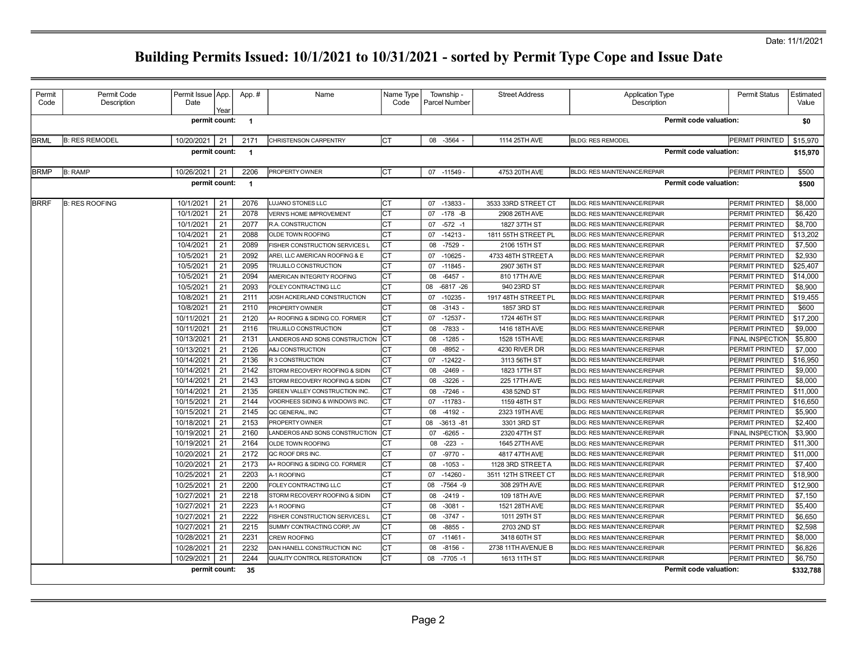## Date: 11/1/2021

| Permit<br>Code                                                                     | Permit Code<br>Description | Permit Issue   App.<br>Date | Year | App.#                    | Name                           | Name Type<br>Code | Township -<br>Parcel Number | <b>Street Address</b> | <b>Application Type</b><br>Description | <b>Permit Status</b>    | Estimated<br>Value |
|------------------------------------------------------------------------------------|----------------------------|-----------------------------|------|--------------------------|--------------------------------|-------------------|-----------------------------|-----------------------|----------------------------------------|-------------------------|--------------------|
|                                                                                    |                            | permit count: 1             |      |                          |                                |                   |                             |                       | <b>Permit code valuation:</b>          |                         | \$0                |
| <b>BRML</b>                                                                        | <b>B: RES REMODEL</b>      | 10/20/2021                  | 21   | 2171                     | <b>CHRISTENSON CARPENTRY</b>   | Iст               | 08 - 3564                   | 1114 25TH AVE         | <b>BLDG: RES REMODEL</b>               | PERMIT PRINTED          | \$15,970           |
|                                                                                    |                            | permit count:               |      | $\overline{\phantom{0}}$ |                                |                   |                             |                       | <b>Permit code valuation:</b>          |                         | \$15,970           |
|                                                                                    |                            |                             |      |                          |                                |                   |                             |                       |                                        |                         |                    |
| <b>BRMP</b>                                                                        | <b>B: RAMP</b>             | 10/26/2021                  | 21   | 2206                     | <b>PROPERTY OWNER</b>          | Iст               | 07 -11549 -                 | 4753 20TH AVE         | <b>BLDG: RES MAINTENANCE/REPAIR</b>    | PERMIT PRINTED          | \$500              |
| <b>Permit code valuation:</b><br>permit count:<br>$\overline{\mathbf{1}}$<br>\$500 |                            |                             |      |                          |                                |                   |                             |                       |                                        |                         |                    |
| <b>BRRF</b>                                                                        | <b>B: RES ROOFING</b>      | 10/1/2021                   | 21   | 2076                     | LUJANO STONES LLC              |                   | $-13833-$<br>07             | 3533 33RD STREET CT   | <b>BLDG: RES MAINTENANCE/REPAIR</b>    | PERMIT PRINTED          | \$8,000            |
|                                                                                    |                            | 10/1/2021                   | 21   | 2078                     | <b>VERN'S HOME IMPROVEMENT</b> | СT                | 07<br>$-178$ -B             | 2908 26TH AVE         | <b>BLDG: RES MAINTENANCE/REPAIR</b>    | PERMIT PRINTED          | \$6,420            |
|                                                                                    |                            | 10/1/2021                   | 21   | 2077                     | R.A. CONSTRUCTION              | СT                | $-572 - 1$<br>07            | 1827 37TH ST          | <b>BLDG: RES MAINTENANCE/REPAIR</b>    | PERMIT PRINTED          | \$8,700            |
|                                                                                    |                            | 10/4/2021                   | 21   | 2088                     | <b>OLDE TOWN ROOFING</b>       |                   | $-14213-$<br>07             | 1811 55TH STREET PL   | <b>BLDG: RES MAINTENANCE/REPAIR</b>    | PERMIT PRINTED          | \$13.202           |
|                                                                                    |                            | 10/4/2021                   | 21   | 2089                     | FISHER CONSTRUCTION SERVICES L | CТ                | $-7529$ -<br>08             | 2106 15TH ST          | <b>BLDG: RES MAINTENANCE/REPAIR</b>    | PERMIT PRINTED          | \$7,500            |
|                                                                                    |                            | 10/5/2021                   | 21   | 2092                     | AREI, LLC AMERICAN ROOFING & E | СT                | 07<br>$-10625 -$            | 4733 48TH STREET A    | <b>BLDG: RES MAINTENANCE/REPAIR</b>    | PERMIT PRINTED          | \$2,930            |
|                                                                                    |                            | 10/5/2021                   | 21   | 2095                     | TRUJILLO CONSTRUCTION          | СT                | 07<br>-11845 -              | 2907 36TH ST          | <b>BLDG: RES MAINTENANCE/REPAIR</b>    | PERMIT PRINTED          | \$25,407           |
|                                                                                    |                            | 10/5/2021                   | 21   | 2094                     | AMERICAN INTEGRITY ROOFING     |                   | $-6457 -$<br>08             | 810 17TH AVE          | <b>BLDG: RES MAINTENANCE/REPAIR</b>    | PERMIT PRINTED          | \$14,000           |
|                                                                                    |                            | 10/5/2021                   | 21   | 2093                     | FOLEY CONTRACTING LLC          | СT                | $-6817 - 26$<br>08          | 940 23RD ST           | <b>BLDG: RES MAINTENANCE/REPAIR</b>    | PERMIT PRINTED          | \$8,900            |
|                                                                                    |                            | 10/8/2021                   | 21   | 2111                     | JOSH ACKERLAND CONSTRUCTION    |                   | $-10235 -$<br>07            | 1917 48TH STREET PL   | <b>BLDG: RES MAINTENANCE/REPAIR</b>    | PERMIT PRINTED          | \$19,455           |
|                                                                                    |                            | 10/8/2021                   | 21   | 2110                     | <b>PROPERTY OWNER</b>          | СT                | $-3143 -$<br>08             | 1857 3RD ST           | <b>BLDG: RES MAINTENANCE/REPAIR</b>    | PERMIT PRINTED          | \$600              |
|                                                                                    |                            | 10/11/2021                  | 21   | 2120                     | A+ ROOFING & SIDING CO. FORMER | СT                | $-12537 -$<br>07            | 1724 46TH ST          | <b>BLDG: RES MAINTENANCE/REPAIR</b>    | PERMIT PRINTED          | \$17,200           |
|                                                                                    |                            | 10/11/2021                  | 21   | 2116                     | TRUJILLO CONSTRUCTION          | СT                | $-7833$<br>08               | 1416 18TH AVE         | <b>BLDG: RES MAINTENANCE/REPAIR</b>    | PERMIT PRINTED          | \$9,000            |
|                                                                                    |                            | 10/13/2021                  | 21   | 2131                     | LANDEROS AND SONS CONSTRUCTION | Iст               | 08<br>$-1285$               | 1528 15TH AVE         | <b>BLDG: RES MAINTENANCE/REPAIR</b>    | FINAL INSPECTION        | \$5,800            |
|                                                                                    |                            | 10/13/2021                  | 21   | 2126                     | A&J CONSTRUCTION               |                   | $-8952$<br>08               | 4230 RIVER DR         | <b>BLDG: RES MAINTENANCE/REPAIR</b>    | PERMIT PRINTED          | \$7,000            |
|                                                                                    |                            | 10/14/2021                  | 21   | 2136                     | R 3 CONSTRUCTION               |                   | $-12422 -$<br>07            | 3113 56TH ST          | <b>BLDG: RES MAINTENANCE/REPAIR</b>    | PERMIT PRINTED          | \$16,950           |
|                                                                                    |                            | 10/14/2021                  | 21   | 2142                     | STORM RECOVERY ROOFING & SIDIN |                   | 08<br>$-2469$ .             | 1823 17TH ST          | <b>BLDG: RES MAINTENANCE/REPAIR</b>    | PERMIT PRINTED          | \$9,000            |
|                                                                                    |                            | 10/14/2021                  | 21   | 2143                     | STORM RECOVERY ROOFING & SIDIN |                   | $-3226$<br>08               | 225 17TH AVE          | BLDG: RES MAINTENANCE/REPAIR           | PERMIT PRINTED          | \$8,000            |
|                                                                                    |                            | 10/14/2021                  | 21   | 2135                     | GREEN VALLEY CONSTRUCTION INC. | Iст               | $-7246 -$<br>08             | 438 52ND ST           | <b>BLDG: RES MAINTENANCE/REPAIR</b>    | PERMIT PRINTED          | \$11,000           |
|                                                                                    |                            | 10/15/2021                  | 21   | 2144                     | VOORHEES SIDING & WINDOWS INC. |                   | $-11783-$<br>07             | 1159 48TH ST          | <b>BLDG: RES MAINTENANCE/REPAIR</b>    | PERMIT PRINTED          | \$16,650           |
|                                                                                    |                            | 10/15/2021                  | 21   | 2145                     | <b>QC GENERAL. INC</b>         | CТ                | 08<br>$-4192 -$             | 2323 19TH AVE         | BLDG: RES MAINTENANCE/REPAIR           | PERMIT PRINTED          | \$5,900            |
|                                                                                    |                            | 10/18/2021                  | 21   | 2153                     | PROPERTY OWNER                 | СT                | 08<br>$-3613 - 81$          | 3301 3RD ST           | BLDG: RES MAINTENANCE/REPAIR           | PERMIT PRINTED          | \$2,400            |
|                                                                                    |                            | 10/19/2021                  | 21   | 2160                     | LANDEROS AND SONS CONSTRUCTION | Iст               | 07<br>$-6265$               | 2320 47TH ST          | <b>BLDG: RES MAINTENANCE/REPAIR</b>    | <b>FINAL INSPECTION</b> | \$3,900            |
|                                                                                    |                            | 10/19/2021                  | 21   | 2164                     | OLDE TOWN ROOFING              |                   | $-223$<br>08                | 1645 27TH AVE         | <b>BLDG: RES MAINTENANCE/REPAIR</b>    | PERMIT PRINTED          | \$11,300           |
|                                                                                    |                            | 10/20/2021                  | 21   | 2172                     | QC ROOF DRS INC.               | CТ                | $-9770$<br>07               | 4817 47TH AVE         | <b>BLDG: RES MAINTENANCE/REPAIR</b>    | PERMIT PRINTED          | \$11,000           |
|                                                                                    |                            | 10/20/2021                  | 21   | 2173                     | A+ ROOFING & SIDING CO. FORMER | СT                | $-1053 -$<br>08             | 1128 3RD STREETA      | <b>BLDG: RES MAINTENANCE/REPAIR</b>    | PERMIT PRINTED          | \$7,400            |
|                                                                                    |                            | 10/25/2021                  | 21   | 2203                     | A-1 ROOFING                    | СT                | $-14260 -$<br>07            | 3511 12TH STREET CT   | BLDG: RES MAINTENANCE/REPAIR           | PERMIT PRINTED          | \$18,900           |
|                                                                                    |                            | 10/25/2021                  | 21   | 2200                     | FOLEY CONTRACTING LLC          | СT                | 08<br>$-7564 - 9$           | 308 29TH AVE          | <b>BLDG: RES MAINTENANCE/REPAIR</b>    | PERMIT PRINTED          | \$12,900           |
|                                                                                    |                            | 10/27/2021                  | 21   | 2218                     | STORM RECOVERY ROOFING & SIDIN | CТ                | $-2419 -$<br>08             | 109 18TH AVE          | <b>BLDG: RES MAINTENANCE/REPAIR</b>    | PERMIT PRINTED          | \$7,150            |
|                                                                                    |                            | 10/27/2021                  | 21   | 2223                     | A-1 ROOFING                    | CТ                | 08<br>$-3081 -$             | 1521 28TH AVE         | <b>BLDG: RES MAINTENANCE/REPAIR</b>    | PERMIT PRINTED          | \$5,400            |
|                                                                                    |                            | 10/27/2021                  | 21   | 2222                     | FISHER CONSTRUCTION SERVICES L | СT                | $-3747$ -<br>08             | 1011 29TH ST          | BLDG: RES MAINTENANCE/REPAIR           | PERMIT PRINTED          | \$6,650            |
|                                                                                    |                            | 10/27/2021                  | 21   | 2215                     | SUMMY CONTRACTING CORP. JW     |                   | 08<br>$-8855.$              | 2703 2ND ST           | <b>BLDG: RES MAINTENANCE/REPAIR</b>    | PERMIT PRINTED          | \$2,598            |
|                                                                                    |                            | 10/28/2021                  | 21   | 2231                     | <b>CREW ROOFING</b>            |                   | 07<br>$-11461 -$            | 3418 60TH ST          | <b>BLDG: RES MAINTENANCE/REPAIR</b>    | PERMIT PRINTED          | \$8,000            |
|                                                                                    |                            | 10/28/2021                  | 21   | 2232                     | DAN HANELL CONSTRUCTION INC    |                   | $-8156$<br>08               | 2738 11TH AVENUE B    | <b>BLDG: RES MAINTENANCE/REPAIR</b>    | PERMIT PRINTED          | \$6,826            |
|                                                                                    |                            | 10/29/2021                  | 21   | 2244                     | QUALITY CONTROL RESTORATION    | CT                | $-7705 - 1$<br>08           | 1613 11TH ST          | <b>BLDG: RES MAINTENANCE/REPAIR</b>    | PERMIT PRINTED          | \$6,750            |
|                                                                                    |                            | permit count:               |      | - 35                     |                                |                   |                             |                       | Permit code valuation:                 |                         | \$332,788          |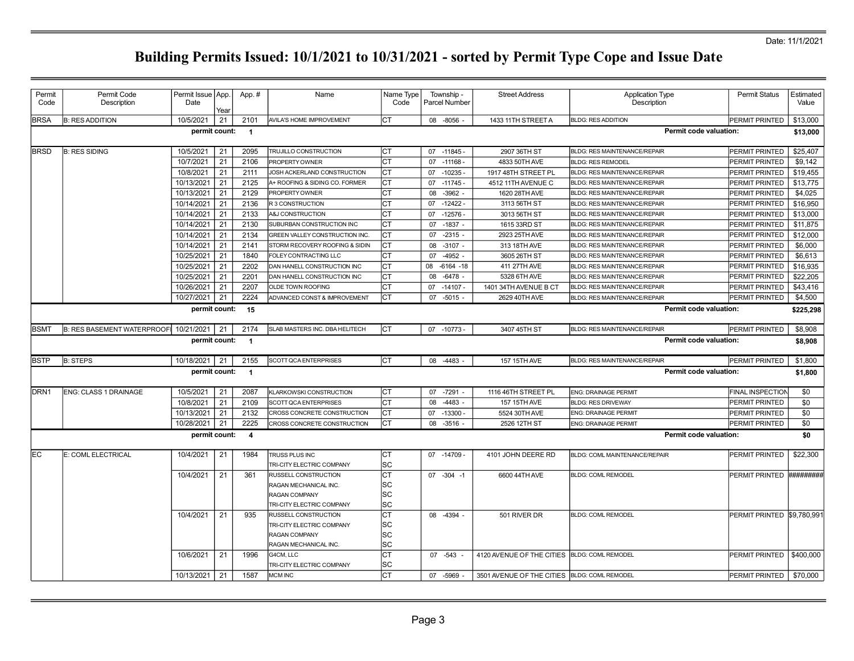| Permit           | Permit Code                        | Permit Issue   App. |            | App.#          | Name                                                       | Name Type       | Township -           | <b>Street Address</b>                         | <b>Application Type</b>             | <b>Permit Status</b>              | Estimated        |
|------------------|------------------------------------|---------------------|------------|----------------|------------------------------------------------------------|-----------------|----------------------|-----------------------------------------------|-------------------------------------|-----------------------------------|------------------|
| Code             | Description                        | Date                |            |                |                                                            | Code            | <b>Parcel Number</b> |                                               | Description                         |                                   | Value            |
| <b>BRSA</b>      | <b>B: RES ADDITION</b>             | 10/5/2021           | Year<br>21 | 2101           | AVILA'S HOME IMPROVEMENT                                   | СT              | 08 -8056             | 1433 11TH STREET A                            | <b>BLDG: RES ADDITION</b>           | PERMIT PRINTED                    | \$13,000         |
|                  |                                    | permit count:       |            | $\blacksquare$ |                                                            |                 |                      |                                               | Permit code valuation:              |                                   |                  |
|                  |                                    |                     |            |                |                                                            |                 |                      |                                               |                                     |                                   |                  |
| <b>BRSD</b>      | <b>B: RES SIDING</b>               | 10/5/2021           | 21         | 2095           | TRUJILLO CONSTRUCTION                                      | Iст             | 07 -11845 -          | 2907 36TH ST                                  | <b>BLDG: RES MAINTENANCE/REPAIR</b> | <b>PERMIT PRINTED</b>             | \$25,407         |
|                  |                                    | 10/7/2021           | 21         | 2106           | PROPERTY OWNER                                             | CT              | 07 -11168 -          | 4833 50TH AVE                                 | <b>BLDG: RES REMODEL</b>            | PERMIT PRINTED                    | \$9.142          |
|                  |                                    | 10/8/2021           | 21         | 2111           | JOSH ACKERLAND CONSTRUCTION                                | СT              | $-10235 -$<br>07     | 1917 48TH STREET PL                           | <b>BLDG: RES MAINTENANCE/REPAIR</b> | PERMIT PRINTED                    | \$19,455         |
|                  |                                    | 10/13/2021          | 21         | 2125           | A+ ROOFING & SIDING CO. FORMER                             | СT              | 07<br>$-11745$       | 4512 11TH AVENUE C                            | BLDG: RES MAINTENANCE/REPAIR        | PERMIT PRINTED                    | \$13,775         |
|                  |                                    | 10/13/2021          | 21         | 2129           | <b>PROPERTY OWNER</b>                                      | CT              | 08<br>$-3962$        | 1620 28TH AVE                                 | <b>BLDG: RES MAINTENANCE/REPAIR</b> | PERMIT PRINTED                    | \$4,025          |
|                  |                                    | 10/14/2021          | 21         | 2136           | R 3 CONSTRUCTION                                           | СT              | $-12422$<br>07       | 3113 56TH ST                                  | <b>BLDG: RES MAINTENANCE/REPAIR</b> | PERMIT PRINTED                    | \$16,950         |
|                  |                                    | 10/14/2021          | 21         | 2133           | A&J CONSTRUCTION                                           | <b>CT</b>       | 07<br>$-12576$       | 3013 56TH ST                                  | BLDG: RES MAINTENANCE/REPAIR        | PERMIT PRINTED                    | \$13,000         |
|                  |                                    | 10/14/2021          | 21         | 2130           | SUBURBAN CONSTRUCTION INC                                  | CT              | $-1837 -$<br>07      | 1615 33RD ST                                  | <b>BLDG: RES MAINTENANCE/REPAIR</b> | PERMIT PRINTED                    | \$11,875         |
|                  |                                    | 10/14/2021          | 21         | 2134           | GREEN VALLEY CONSTRUCTION INC.                             | СT              | $-2315 -$<br>07      | 2923 25TH AVE                                 | BLDG: RES MAINTENANCE/REPAIR        | PERMIT PRINTED                    | \$12,000         |
|                  |                                    | 10/14/2021          | 21         | 2141           | STORM RECOVERY ROOFING & SIDIN                             | <b>CT</b>       | 08<br>$-3107 -$      | 313 18TH AVE                                  | <b>BLDG: RES MAINTENANCE/REPAIR</b> | PERMIT PRINTED                    | \$6,000          |
|                  |                                    | 10/25/2021          | 21         | 1840           | FOLEY CONTRACTING LLC                                      | CT              | $-4952 -$<br>07      | 3605 26TH ST                                  | <b>BLDG: RES MAINTENANCE/REPAIR</b> | PERMIT PRINTED                    | \$6,613          |
|                  |                                    | 10/25/2021          | 21         | 2202           | DAN HANELL CONSTRUCTION INC                                | CT              | 08<br>$-6164 - 18$   | 411 27TH AVE                                  | <b>BLDG: RES MAINTENANCE/REPAIR</b> | PERMIT PRINTED                    | \$16,935         |
|                  |                                    | 10/25/2021          | 21         | 2201           | DAN HANELL CONSTRUCTION INC                                | <b>CT</b>       | 08<br>$-6478 -$      | 5328 6TH AVE                                  | <b>BLDG: RES MAINTENANCE/REPAIR</b> | PERMIT PRINTED                    | \$22,205         |
|                  |                                    | 10/26/2021          | 21         | 2207           | OLDE TOWN ROOFING                                          | <b>CT</b>       | $-14107$<br>07       | 1401 34TH AVENUE B CT                         | <b>BLDG: RES MAINTENANCE/REPAIR</b> | PERMIT PRINTED                    | \$43,416         |
|                  |                                    | 10/27/2021          | 21         | 2224           | ADVANCED CONST & IMPROVEMENT                               | CT              | $-5015 -$<br>07      | 2629 40TH AVE                                 | BLDG: RES MAINTENANCE/REPAIR        | PERMIT PRINTED                    | \$4,500          |
|                  |                                    | permit count:       |            | 15             |                                                            |                 |                      |                                               | <b>Permit code valuation:</b>       |                                   | \$225,298        |
| <b>BSMT</b>      | <b>B: RES BASEMENT WATERPROOF!</b> | 10/21/2021          | 21         | 2174           | SLAB MASTERS INC. DBA HELITECH                             | Iст             | 07 -10773            | 3407 45TH ST                                  | <b>BLDG: RES MAINTENANCE/REPAIR</b> | PERMIT PRINTED                    | \$8,908          |
|                  |                                    | permit count:       |            | $\blacksquare$ |                                                            |                 |                      |                                               | <b>Permit code valuation:</b>       |                                   | \$8,908          |
| <b>BSTP</b>      | <b>B: STEPS</b>                    | 10/18/2021          | 21         | 2155           | SCOTT QCA ENTERPRISES                                      | Iст             | 08 -4483 -           | 157 15TH AVE                                  | BLDG: RES MAINTENANCE/REPAIR        |                                   | \$1,800          |
|                  |                                    |                     |            |                |                                                            |                 |                      |                                               |                                     | PERMIT PRINTED                    |                  |
|                  |                                    | permit count:       |            | $\overline{1}$ |                                                            |                 |                      |                                               | Permit code valuation:              |                                   | \$1,800          |
| DRN <sub>1</sub> | ENG: CLASS 1 DRAINAGE              | 10/5/2021           | 21         | 2087           | KLARKOWSKI CONSTRUCTION                                    | Iст             | 07 -7291 -           | 1116 46TH STREET PL                           | <b>ENG: DRAINAGE PERMIT</b>         | <b>FINAL INSPECTION</b>           | \$0              |
|                  |                                    | 10/8/2021           | 21         | 2109           | SCOTT QCA ENTERPRISES                                      | <b>CT</b>       | 08<br>$-4483 -$      | 157 15TH AVE                                  | <b>BLDG: RES DRIVEWAY</b>           | PERMIT PRINTED                    | \$0              |
|                  |                                    | 10/13/2021          | 21         | 2132           |                                                            | СT              | 07 -13300 -          | 5524 30TH AVE                                 | ENG: DRAINAGE PERMIT                | PERMIT PRINTED                    | \$0              |
|                  |                                    | 10/28/2021          | 21         | 2225           | CROSS CONCRETE CONSTRUCTION<br>CROSS CONCRETE CONSTRUCTION | <b>CT</b>       | 08<br>$-3516 -$      | 2526 12TH ST                                  | ENG: DRAINAGE PERMIT                | PERMIT PRINTED                    |                  |
|                  |                                    | permit count:       |            | $\overline{4}$ |                                                            |                 |                      |                                               | Permit code valuation:              |                                   | \$0<br>\$0       |
|                  |                                    |                     |            |                |                                                            |                 |                      |                                               |                                     |                                   |                  |
| lEC.             | E: COML ELECTRICAL                 | 10/4/2021           | 21         | 1984           | TRUSS PLUS INC                                             | <b>CT</b>       | 07 -14709            | 4101 JOHN DEERE RD                            | BLDG: COML MAINTENANCE/REPAIR       | <b>PERMIT PRINTED</b>             | \$22,300         |
|                  |                                    |                     |            |                | TRI-CITY ELECTRIC COMPANY                                  | SC              |                      | 6600 44TH AVE                                 |                                     |                                   | <b>HHHHHHHHH</b> |
|                  |                                    | 10/4/2021           | 21         | 361            | RUSSELL CONSTRUCTION                                       | CT              | 07 -304 -1           |                                               | <b>BLDG: COML REMODEL</b>           | PERMIT PRINTED                    |                  |
|                  |                                    |                     |            |                | RAGAN MECHANICAL INC.<br>RAGAN COMPANY                     | SC<br>SC        |                      |                                               |                                     |                                   |                  |
|                  |                                    |                     |            |                | TRI-CITY ELECTRIC COMPANY                                  | SC              |                      |                                               |                                     |                                   |                  |
|                  |                                    | 10/4/2021           | 21         | 935            | <b>RUSSELL CONSTRUCTION</b>                                | СT              | 08 -4394 -           | 501 RIVER DR                                  | <b>BLDG: COML REMODEL</b>           | <b>PERMIT PRINTED \$9,780,991</b> |                  |
|                  |                                    |                     |            |                | TRI-CITY ELECTRIC COMPANY                                  | SC              |                      |                                               |                                     |                                   |                  |
|                  |                                    |                     |            |                | <b>RAGAN COMPANY</b>                                       | SC              |                      |                                               |                                     |                                   |                  |
|                  |                                    |                     |            |                | RAGAN MECHANICAL INC.                                      | SC              |                      |                                               |                                     |                                   |                  |
|                  |                                    | 10/6/2021           | 21         | 1996           | G4CM, LLC                                                  | СT              | 07 -543              | 4120 AVENUE OF THE CITIES BLDG: COML REMODEL  |                                     | PERMIT PRINTED                    | \$400,000        |
|                  |                                    | 10/13/2021          | 21         | 1587           | TRI-CITY ELECTRIC COMPANY<br><b>MCM INC</b>                | SC<br><b>CT</b> | 07 -5969 -           | 3501 AVENUE OF THE CITIES  BLDG: COML REMODEL |                                     | PERMIT PRINTED                    | \$70,000         |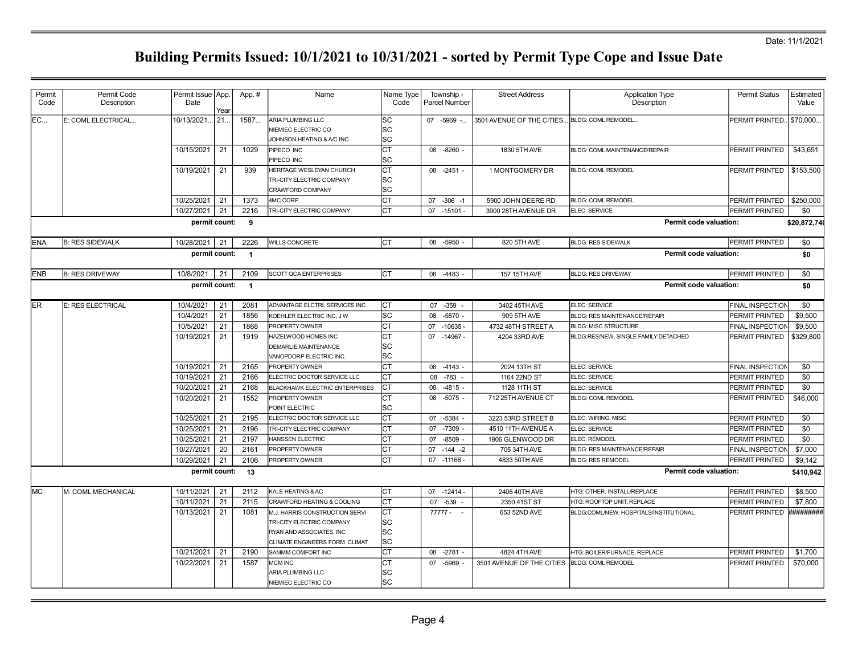| Permit<br>Code | Permit Code<br>Description | Permit Issue App.<br>Date | Year | App.#          | Name                                                                                                                      | Name Type<br>Code                       | Township -<br><b>Parcel Number</b> | <b>Street Address</b>      | <b>Application Type</b><br>Description | <b>Permit Status</b>    | Estimated<br>Value |
|----------------|----------------------------|---------------------------|------|----------------|---------------------------------------------------------------------------------------------------------------------------|-----------------------------------------|------------------------------------|----------------------------|----------------------------------------|-------------------------|--------------------|
| EC             | E: COML ELECTRICAL         | 10/13/2021.               | 21.  | 1587           | ARIA PLUMBING LLC<br>NIEMIEC ELECTRIC CO<br>JOHNSON HEATING & A/C INC                                                     | SC<br>SC<br>SC                          | 07 -5969 -                         | 3501 AVENUE OF THE CITIES. | BLDG: COML REMODEL                     | PERMIT PRINTED          | \$70,000.          |
|                |                            | 10/15/2021                | 21   | 1029           | PIPECO INC<br>PIPECO INC                                                                                                  | $\overline{\text{c}^{\intercal}}$<br>SC | 08 -8260 -                         | 1830 5TH AVE               | <b>BLDG: COML MAINTENANCE/REPAIR</b>   | PERMIT PRINTED          | \$43,651           |
|                |                            | 10/19/2021                | 21   | 939            | <b>HERITAGE WESLEYAN CHURCH</b><br>TRI-CITY ELECTRIC COMPANY<br>CRAWFORD COMPANY                                          | <b>CT</b><br><b>SC</b><br>SC            | 08 -2451 -                         | 1 MONTGOMERY DR            | <b>BLDG: COML REMODEL</b>              | PERMIT PRINTED          | \$153,500          |
|                |                            | 10/25/2021                | 21   | 1373           | 4MC CORP.                                                                                                                 | <b>CT</b>                               | 07 -306 -1                         | 5900 JOHN DEERE RD         | <b>BLDG: COML REMODEL</b>              | PERMIT PRINTED          | \$250,000          |
|                |                            | 10/27/2021                | 21   | 2216           | TRI-CITY ELECTRIC COMPANY                                                                                                 | <b>CT</b>                               | $07 - 15101 -$                     | 3900 28TH AVENUE DR        | ELEC: SERVICE                          | <b>PERMIT PRINTED</b>   | \$0                |
|                |                            | permit count:             |      | 9              |                                                                                                                           |                                         |                                    |                            | Permit code valuation:                 |                         | \$20,872,740       |
| <b>ENA</b>     | <b>B: RES SIDEWALK</b>     | 10/28/2021                | 21   | 2226           | WILLS CONCRETE                                                                                                            | Iст                                     | 08 -5950                           | 820 5TH AVE                | <b>BLDG: RES SIDEWALK</b>              | PERMIT PRINTED          | \$0                |
|                |                            | permit count:             |      | $\overline{1}$ |                                                                                                                           |                                         |                                    |                            | Permit code valuation:                 |                         | \$0                |
| <b>ENB</b>     | <b>B: RES DRIVEWAY</b>     | 10/8/2021                 | 21   | 2109           | SCOTT QCA ENTERPRISES                                                                                                     | Iст                                     | 08 -4483 -                         | 157 15TH AVE               | <b>BLDG: RES DRIVEWAY</b>              | <b>PERMIT PRINTED</b>   | \$0                |
|                |                            | permit count:             |      | $\overline{1}$ |                                                                                                                           |                                         |                                    |                            | <b>Permit code valuation:</b>          |                         | \$0                |
| <b>ER</b>      | <b>E: RES ELECTRICAL</b>   | 10/4/2021                 | 21   | 2081           | ADVANTAGE ELCTRL SERVICES INC                                                                                             | Iст                                     | 07<br>$-359$                       | 3402 45TH AVE              | ELEC: SERVICE                          | <b>FINAL INSPECTION</b> | \$0                |
|                |                            | 10/4/2021                 | 21   | 1856           | KOEHLER ELECTRIC INC, J W                                                                                                 | <b>SC</b>                               | 08<br>$-5870 -$                    | 909 5TH AVE                | <b>BLDG: RES MAINTENANCE/REPAIR</b>    | PERMIT PRINTED          | \$9,500            |
|                |                            | 10/5/2021                 | 21   | 1868           | PROPERTY OWNER                                                                                                            | <b>CT</b>                               | 07<br>$-10635$                     | 4732 48TH STREET A         | <b>BLDG: MISC STRUCTURE</b>            | FINAL INSPECTION        | \$9,500            |
|                |                            | 10/19/2021                | 21   | 1919           | HAZELWOOD HOMES INC<br><b>DEMARLIE MAINTENANCE</b><br>VANOPDORP ELECTRIC INC.                                             | СT<br>SC<br>lsc                         | 07 -14967 -                        | 4204 33RD AVE              | BLDG:RES/NEW, SINGLE FAMILY DETACHED   | PERMIT PRINTED          | \$329,800          |
|                |                            | 10/19/2021                | 21   | 2165           | PROPERTY OWNER                                                                                                            | <b>CT</b>                               | 08 -4143 -                         | 2024 13TH ST               | ELEC: SERVICE                          | <b>FINAL INSPECTION</b> | \$0                |
|                |                            | 10/19/2021                | 21   | 2166           | ELECTRIC DOCTOR SERVICE LLC                                                                                               | CT                                      | 08<br>-783                         | 1164 22ND ST               | ELEC: SERVICE                          | PERMIT PRINTED          | \$0                |
|                |                            | 10/20/2021                | 21   | 2168           | <b>BLACKHAWK ELECTRIC ENTERPRISES</b>                                                                                     | lст                                     | $-4815 -$<br>08                    | 1128 11TH ST               | ELEC: SERVICE                          | PERMIT PRINTED          | \$0                |
|                |                            | 10/20/2021                | 21   | 1552           | PROPERTY OWNER<br>POINT ELECTRIC                                                                                          | CT<br>SC                                | $-5075 -$<br>08                    | 712 25TH AVENUE CT         | <b>BLDG: COML REMODEL</b>              | PERMIT PRINTED          | \$46,000           |
|                |                            | 10/25/2021                | 21   | 2195           | ELECTRIC DOCTOR SERVICE LLC                                                                                               | CT                                      | 07 -5384                           | 3223 53RD STREET B         | ELEC: WIRING, MISC                     | PERMIT PRINTED          | \$0                |
|                |                            | 10/25/2021                | 21   | 2196           | <b>RI-CITY ELECTRIC COMPANY</b>                                                                                           | <b>CT</b>                               | -7309<br>07                        | 4510 11TH AVENUE A         | ELEC: SERVICE                          | PERMIT PRINTED          | \$0                |
|                |                            | 10/25/2021                | 21   | 2197           | <b>IANSSEN ELECTRIC</b>                                                                                                   | <b>CT</b>                               | 07<br>$-8509$                      | 1906 GLENWOOD DR           | ELEC: REMODEL                          | PERMIT PRINTED          | \$0                |
|                |                            | 10/27/2021                | 20   | 2161           | PROPERTY OWNER                                                                                                            | lст                                     | $-144 - 2$<br>07                   | 705 34TH AVE               | BLDG: RES MAINTENANCE/REPAIR           | FINAL INSPECTION        | \$7,000            |
|                |                            | 10/29/2021                | 21   | 2106           | PROPERTY OWNER                                                                                                            | <b>CT</b>                               | 07 -11168 -                        | 4833 50TH AVE              | <b>BLDG: RES REMODEL</b>               | PERMIT PRINTED          | \$9,142            |
|                |                            | permit count:             |      | 13             |                                                                                                                           |                                         |                                    |                            | <b>Permit code valuation:</b>          |                         | \$410,942          |
| <b>MC</b>      | M: COML MECHANICAL         | 10/11/2021                | 21   | 2112           | KALE HEATING & AC                                                                                                         | IСТ                                     | $07 - 12414 -$                     | 2405 40TH AVE              | HTG: OTHER, INSTALL/REPLACE            | PERMIT PRINTED          | \$8,500            |
|                |                            | 10/11/2021                | 21   | 2115           | CRAWFORD HEATING & COOLING                                                                                                | <b>CT</b>                               | 07 -539                            | 2350 41ST ST               | HTG: ROOFTOP UNIT, REPLACE             | PERMIT PRINTED          | \$7,800            |
|                |                            | 10/13/2021                | 21   | 1081           | M.J. HARRIS CONSTRUCTION SERVI<br>TRI-CITY ELECTRIC COMPANY<br>RYAN AND ASSOCIATES. INC<br>CLIMATE ENGINEERS FORM. CLIMAT | lст<br>SC<br><b>SC</b><br>SC            | $77777 - -$                        | 653 52ND AVE               | BLDG:COML/NEW, HOSPITALS/INSTITUTIONAL | PERMIT PRINTED          | **********         |
|                |                            | 10/21/2021                | 21   | 2190           | SAMMM COMFORT INC                                                                                                         | <b>CT</b>                               | 08 -2781 -                         | 4824 4TH AVE               | HTG: BOILER/FURNACE, REPLACE           | PERMIT PRINTED          | \$1,700            |
|                |                            | 10/22/2021                | 21   | 1587           | <b>MCM INC</b><br>ARIA PLUMBING LLC<br>NIEMIEC ELECTRIC CO                                                                | <b>CT</b><br>SC<br>SC                   | 07 -5969 -                         | 3501 AVENUE OF THE CITIES  | <b>BLDG: COML REMODEL</b>              | PERMIT PRINTED          | \$70,000           |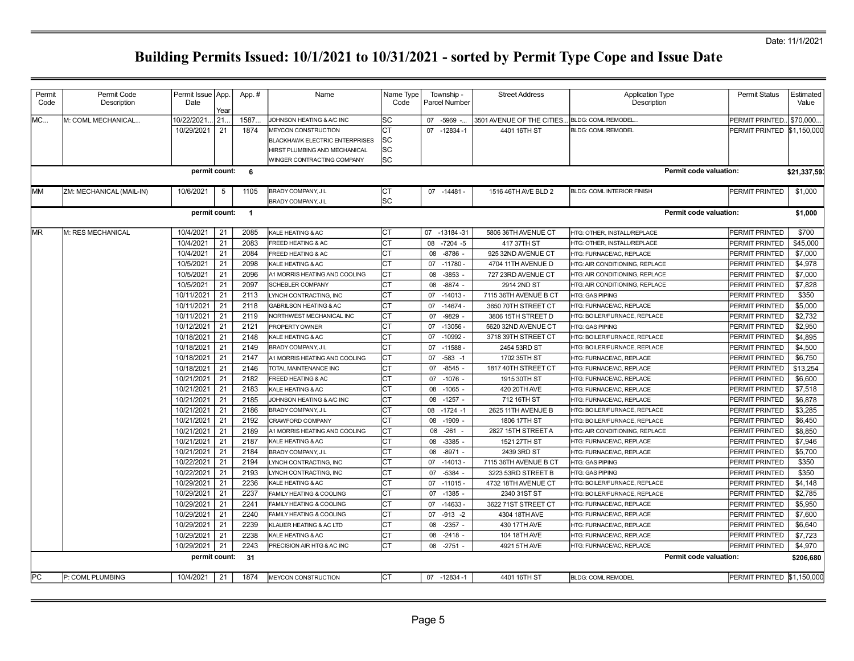| Permit<br>Code | Permit Code<br>Description | Permit Issue   App.<br>Date | Year     | App.#                    | Name                                                                                          | Name Type<br>Code | Township -<br>Parcel Number        | <b>Street Address</b>              | <b>Application Type</b><br>Description               | <b>Permit Status</b>             | Estimated<br>Value |
|----------------|----------------------------|-----------------------------|----------|--------------------------|-----------------------------------------------------------------------------------------------|-------------------|------------------------------------|------------------------------------|------------------------------------------------------|----------------------------------|--------------------|
| MC             | M: COML MECHANICAL         | 10/22/2021                  | 21.      | 1587.                    | JOHNSON HEATING & A/C INC                                                                     | lsc               | $-5969$ -<br>07                    | 3501 AVENUE OF THE CITIES.         | BLDG: COML REMODEL.                                  | PERMIT PRINTED.                  | \$70,000.          |
|                |                            | 10/29/2021                  | 21       | 1874                     | MEYCON CONSTRUCTION<br><b>BLACKHAWK ELECTRIC ENTERPRISES</b><br>HIRST PLUMBING AND MECHANICAL | СT<br>lsc<br>lsc  | $-12834 - 1$<br>07                 | 4401 16TH ST                       | <b>BLDG: COML REMODEL</b>                            | PERMIT PRINTED \$1,150,000       |                    |
|                |                            |                             |          | permit count: 6          | WINGER CONTRACTING COMPANY                                                                    | lsc               |                                    |                                    | <b>Permit code valuation:</b>                        |                                  | \$21,337,593       |
|                |                            |                             |          |                          |                                                                                               |                   |                                    |                                    |                                                      |                                  |                    |
| <b>IMM</b>     | ZM: MECHANICAL (MAIL-IN)   | 10/6/2021                   | 5        | 1105                     | BRADY COMPANY, JL<br>BRADY COMPANY, J L                                                       | СT<br>lsc         | $07 - 14481 -$                     | 1516 46TH AVE BLD 2                | <b>BLDG: COML INTERIOR FINISH</b>                    | PERMIT PRINTED                   | \$1,000            |
|                |                            | permit count:               |          | $\overline{\phantom{1}}$ |                                                                                               |                   |                                    |                                    | Permit code valuation:                               |                                  | \$1,000            |
| MR.            | M: RES MECHANICAL          | 10/4/2021                   | 21       | 2085                     | <b>KALE HEATING &amp; AC</b>                                                                  | IСТ               | 07 -13184 -31                      | 5806 36TH AVENUE CT                | HTG: OTHER, INSTALL/REPLACE                          | PERMIT PRINTED                   | \$700              |
|                |                            | 10/4/2021                   | 21       | 2083                     | FREED HEATING & AC                                                                            | lст               | $-7204 - 5$<br>08                  | 417 37TH ST                        | HTG: OTHER, INSTALL/REPLACE                          | PERMIT PRINTED                   | \$45,000           |
|                |                            | 10/4/2021                   | 21       | 2084                     | FREED HEATING & AC                                                                            | СT                | 08<br>$-8786$ -                    | 925 32ND AVENUE CT                 | HTG: FURNACE/AC, REPLACE                             | PERMIT PRINTED                   | \$7,000            |
|                |                            | 10/5/2021                   | 21       | 2098                     | KALE HEATING & AC                                                                             | CТ                | 07<br>$-11780 -$                   | 4704 11TH AVENUE D                 | HTG: AIR CONDITIONING, REPLACE                       | PERMIT PRINTED                   | \$4,978            |
|                |                            | 10/5/2021                   | 21       | 2096                     | A1 MORRIS HEATING AND COOLING                                                                 | СT                | $-3853 -$<br>08                    | 727 23RD AVENUE CT                 | HTG: AIR CONDITIONING, REPLACE                       | PERMIT PRINTED                   | \$7,000            |
|                |                            | 10/5/2021                   | 21       | 2097                     | <b>SCHEBLER COMPANY</b>                                                                       | СT                | $-8874 -$<br>08                    | 2914 2ND ST                        | HTG: AIR CONDITIONING, REPLACE                       | PERMIT PRINTED                   | \$7,828            |
|                |                            | 10/11/2021                  | 21       | 2113                     | LYNCH CONTRACTING, INC                                                                        | СT                | 07<br>$-14013 -$                   | 7115 36TH AVENUE B CT              | <b>HTG: GAS PIPING</b>                               | PERMIT PRINTED                   | \$350              |
|                |                            | 10/11/2021                  | 21       | 2118                     | GABRILSON HEATING & AC                                                                        | СT                | 07<br>$-14674-$                    | 3650 70TH STREET CT                | HTG: FURNACE/AC, REPLACE                             | PERMIT PRINTED                   | \$5,000            |
|                |                            | 10/11/2021                  | 21       | 2119                     | NORTHWEST MECHANICAL INC                                                                      | СT                | 07<br>$-9829$                      | 3806 15TH STREET D                 | <b>ITG: BOILER/FURNACE, REPLACE</b>                  | PERMIT PRINTED                   | \$2,732            |
|                |                            | 10/12/2021                  | 21       | 2121                     | PROPERTY OWNER                                                                                | <b>CT</b>         | 07<br>$-13056 -$                   | 5620 32ND AVENUE CT                | <b>HTG: GAS PIPING</b>                               | PERMIT PRINTED                   | \$2,950            |
|                |                            | 10/18/2021                  | 21       | 2148                     | KALE HEATING & AC                                                                             | СT                | $-10992 -$<br>07                   | 3718 39TH STREET CT                | HTG: BOILER/FURNACE, REPLACE                         | PERMIT PRINTED                   | \$4,895            |
|                |                            | 10/18/2021                  | 21       | 2149                     | BRADY COMPANY, JL                                                                             | СT                | 07<br>$-11588-$                    | 2454 53RD ST                       | HTG: BOILER/FURNACE, REPLACE                         | PERMIT PRINTED                   | \$4,500            |
|                |                            | 10/18/2021                  | 21       | 2147                     | A1 MORRIS HEATING AND COOLING                                                                 | CT                | $-583 - 1$<br>07                   | 1702 35TH ST                       | HTG: FURNACE/AC, REPLACE                             | PERMIT PRINTED                   | \$6,750            |
|                |                            | 10/18/2021                  | 21       | 2146                     | TOTAL MAINTENANCE INC                                                                         | СT                | $-8545 -$<br>07<br>$-1076$ -<br>07 | 1817 40TH STREET CT                | HTG: FURNACE/AC, REPLACE                             | PERMIT PRINTED                   | \$13,254           |
|                |                            | 10/21/2021<br>10/21/2021    | 21<br>21 | 2182<br>2183             | FREED HEATING & AC                                                                            | СT<br>lст         |                                    | 1915 30TH ST                       | HTG: FURNACE/AC, REPLACE                             | PERMIT PRINTED                   | \$6,600            |
|                |                            | 10/21/2021                  | 21       | 2185                     | KALE HEATING & AC<br>JOHNSON HEATING & A/C INC                                                | СT                | 08<br>$-1065$ -<br>$-1257 -$<br>08 | 420 20TH AVE                       | HTG: FURNACE/AC, REPLACE<br>HTG: FURNACE/AC, REPLACE | PERMIT PRINTED                   | \$7,518<br>\$6,878 |
|                |                            | 10/21/2021                  | 21       | 2186                     |                                                                                               | <b>CT</b>         | $-1724 - 1$                        | 712 16TH ST                        | HTG: BOILER/FURNACE, REPLACE                         | PERMIT PRINTED                   | \$3,285            |
|                |                            | 10/21/2021                  | 21       | 2192                     | BRADY COMPANY, J L<br><b>CRAWFORD COMPANY</b>                                                 |                   | 08<br>$-1909$<br>08                | 2625 11TH AVENUE B<br>1806 17TH ST | <b>ITG: BOILER/FURNACE, REPLACE</b>                  | PERMIT PRINTED<br>PERMIT PRINTED | \$6,450            |
|                |                            | 10/21/2021                  | 21       | 2189                     | A1 MORRIS HEATING AND COOLING                                                                 | СT                | 08<br>$-261$                       | 2827 15TH STREET A                 | HTG: AIR CONDITIONING, REPLACE                       | PERMIT PRINTED                   | \$8,850            |
|                |                            | 10/21/2021                  | 21       | 2187                     | KALE HEATING & AC                                                                             | СT                | $-3385 -$<br>08                    | 1521 27TH ST                       | HTG: FURNACE/AC, REPLACE                             | PERMIT PRINTED                   | \$7,946            |
|                |                            | 10/21/2021                  | 21       | 2184                     | BRADY COMPANY, J L                                                                            | СT                | $-8971 -$<br>08                    | 2439 3RD ST                        | HTG: FURNACE/AC, REPLACE                             | PERMIT PRINTED                   | \$5,700            |
|                |                            | 10/22/2021                  | 21       | 2194                     | LYNCH CONTRACTING, INC                                                                        | Iст               | $-14013 -$<br>07                   | 7115 36TH AVENUE B CT              | <b>HTG: GAS PIPING</b>                               | PERMIT PRINTED                   | \$350              |
|                |                            | 10/22/2021                  | 21       | 2193                     | LYNCH CONTRACTING, INC                                                                        | СT                | $-5384 -$<br>07                    | 3223 53RD STREET B                 | <b>HTG: GAS PIPING</b>                               | PERMIT PRINTED                   | \$350              |
|                |                            | 10/29/2021                  | 21       | 2236                     | KALE HEATING & AC                                                                             | СT                | $-11015 -$<br>07                   | 4732 18TH AVENUE CT                | HTG: BOILER/FURNACE, REPLACE                         | PERMIT PRINTED                   | \$4,148            |
|                |                            | 10/29/2021                  | 21       | 2237                     | FAMILY HEATING & COOLING                                                                      | СT                | 07<br>$-1385 -$                    | 2340 31ST ST                       | HTG: BOILER/FURNACE, REPLACE                         | PERMIT PRINTED                   | \$2,785            |
|                |                            | 10/29/2021                  | 21       | 2241                     | <b>FAMILY HEATING &amp; COOLING</b>                                                           | СT                | 07<br>$-14633$                     | 3622 71ST STREET CT                | HTG: FURNACE/AC, REPLACE                             | PERMIT PRINTED                   | \$5,950            |
|                |                            | 10/29/2021                  | 21       | 2240                     | FAMILY HEATING & COOLING                                                                      | СT                | $-913 - 2$<br>07                   | 4304 18TH AVE                      | HTG: FURNACE/AC, REPLACE                             | PERMIT PRINTED                   | \$7,600            |
|                |                            | 10/29/2021                  | 21       | 2239                     | KLAUER HEATING & AC LTD                                                                       | CТ                | $-2357 -$<br>08                    | 430 17TH AVE                       | HTG: FURNACE/AC, REPLACE                             | PERMIT PRINTED                   | \$6.640            |
|                |                            | 10/29/2021                  | 21       | 2238                     | KALE HEATING & AC                                                                             |                   | 08<br>$-2418 -$                    | 104 18TH AVE                       | HTG: FURNACE/AC, REPLACE                             | PERMIT PRINTED                   | \$7,723            |
|                |                            | 10/29/2021                  | 21       | 2243                     | PRECISION AIR HTG & AC INC                                                                    | СT                | $-2751$<br>08                      | 4921 5TH AVE                       | <b>ITG: FURNACE/AC. REPLACE</b>                      | PERMIT PRINTED                   | \$4,970            |
|                |                            | permit count:               |          | 31                       |                                                                                               |                   |                                    |                                    | Permit code valuation:                               |                                  | \$206,680          |
|                |                            |                             |          |                          |                                                                                               |                   |                                    |                                    |                                                      |                                  |                    |
| PC             | P: COML PLUMBING           | 10/4/2021                   | 21       | 1874                     | MEYCON CONSTRUCTION                                                                           | Iст               | 07 -12834 -1                       | 4401 16TH ST                       | <b>BLDG: COML REMODEL</b>                            | PERMIT PRINTED \$1,150,000       |                    |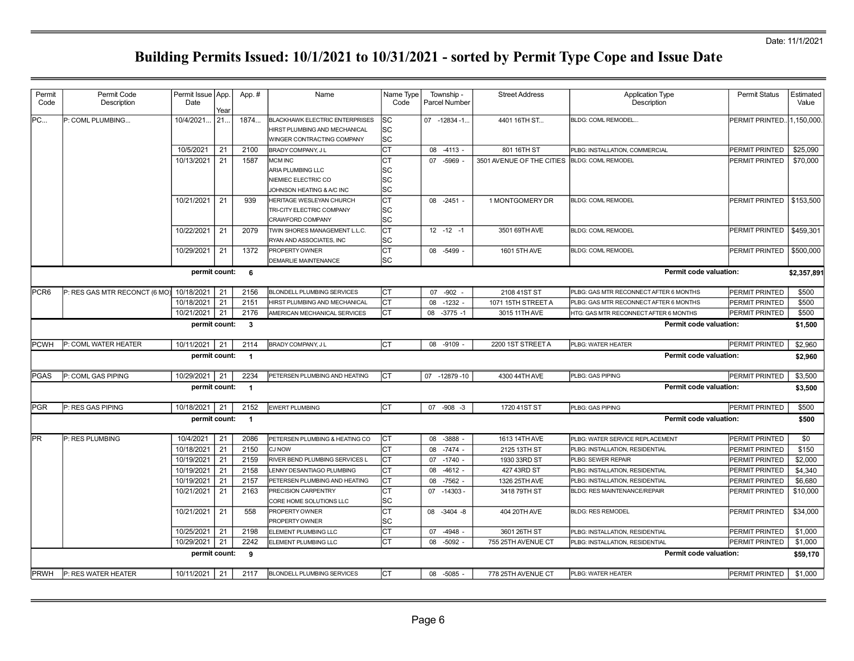| Permit<br>Code   | Permit Code<br>Description               | Permit Issue   App.<br>Date | Year | App.#                   | Name                                                                                                 | Name Type<br>Code       | Township -<br>Parcel Number | <b>Street Address</b>     | <b>Application Type</b><br>Description | <b>Permit Status</b> | Estimated<br>Value |
|------------------|------------------------------------------|-----------------------------|------|-------------------------|------------------------------------------------------------------------------------------------------|-------------------------|-----------------------------|---------------------------|----------------------------------------|----------------------|--------------------|
| PC               | P: COML PLUMBING                         | 10/4/2021.                  | 21.  | 1874                    | <b>BLACKHAWK ELECTRIC ENTERPRISES</b><br>HIRST PLUMBING AND MECHANICAL<br>WINGER CONTRACTING COMPANY | lsc<br>lsc<br>lsc       | 07 -12834 -1                | 4401 16TH ST              | BLDG: COML REMODEL                     | PERMIT PRINTED       | 1,150,000.         |
|                  |                                          | 10/5/2021                   | 21   | 2100                    | BRADY COMPANY, J L                                                                                   | Iст                     | 08<br>$-4113 -$             | 801 16TH ST               | PLBG: INSTALLATION, COMMERCIAL         | PERMIT PRINTED       | \$25,090           |
|                  |                                          | 10/13/2021                  | 21   | 1587                    | <b>MCM INC</b><br>ARIA PLUMBING LLC<br>NIEMIEC ELECTRIC CO<br>JOHNSON HEATING & A/C INC              | СT<br> SC<br>lsc<br>lsc | 07 -5969                    | 3501 AVENUE OF THE CITIES | <b>BLDG: COML REMODEL</b>              | PERMIT PRINTED       | \$70,000           |
|                  |                                          | 10/21/2021                  | 21   | 939                     | HERITAGE WESLEYAN CHURCH<br>TRI-CITY ELECTRIC COMPANY<br>CRAWFORD COMPANY                            | <b>CT</b><br> SC<br> SC | $08 - 2451 -$               | 1 MONTGOMERY DR           | <b>BLDG: COML REMODEL</b>              | PERMIT PRINTED       | \$153,500          |
|                  |                                          | 10/22/2021                  | 21   | 2079                    | TWIN SHORES MANAGEMENT L.L.C.<br>RYAN AND ASSOCIATES, INC                                            | lст<br> SC              | $12 - 12 - 1$               | 3501 69TH AVE             | <b>BLDG: COML REMODEL</b>              | PERMIT PRINTED       | \$459,301          |
|                  |                                          | 10/29/2021                  | 21   | 1372                    | <b>PROPERTY OWNER</b><br><b>DEMARLIE MAINTENANCE</b>                                                 | Iст<br>lsc              | 08 -5499 -                  | 1601 5TH AVE              | <b>BLDG: COML REMODEL</b>              | PERMIT PRINTED       | \$500,000          |
|                  |                                          | permit count:               |      | 6                       |                                                                                                      |                         |                             |                           | Permit code valuation:                 |                      | \$2,357,891        |
| PCR <sub>6</sub> | P: RES GAS MTR RECONCT (6 MO) 10/18/2021 |                             | 21   | 2156                    | <b>BLONDELL PLUMBING SERVICES</b>                                                                    | <b>CT</b>               | 07 -902                     | 2108 41ST ST              | PLBG: GAS MTR RECONNECT AFTER 6 MONTHS | PERMIT PRINTED       | \$500              |
|                  |                                          | 10/18/2021                  | 21   | 2151                    | HIRST PLUMBING AND MECHANICAL                                                                        | Iст                     | $-1232 -$<br>08             | 1071 15TH STREET A        | PLBG: GAS MTR RECONNECT AFTER 6 MONTHS | PERMIT PRINTED       | \$500              |
|                  |                                          | 10/21/2021                  | 21   | 2176                    | AMERICAN MECHANICAL SERVICES                                                                         | Iст                     | 80<br>$-3775 - 1$           | 3015 11TH AVE             | HTG: GAS MTR RECONNECT AFTER 6 MONTHS  | PERMIT PRINTED       | \$500              |
|                  |                                          | permit count:               |      | $\overline{\mathbf{3}}$ |                                                                                                      |                         |                             |                           | Permit code valuation:                 |                      | \$1,500            |
| <b>PCWH</b>      | P: COML WATER HEATER                     | 10/11/2021                  | 21   | 2114                    | BRADY COMPANY, JL                                                                                    | Iст                     | 08 -9109 -                  | 2200 1ST STREET A         | PLBG: WATER HEATER                     | PERMIT PRINTED       | \$2,960            |
|                  |                                          | permit count:               |      | $\overline{1}$          |                                                                                                      |                         |                             |                           | <b>Permit code valuation:</b>          |                      | \$2,960            |
| PGAS             | P: COML GAS PIPING                       | 10/29/2021                  | 21   | 2234                    | PETERSEN PLUMBING AND HEATING                                                                        | <b>CT</b>               | 07 -12879 -10               | 4300 44TH AVE             | PLBG: GAS PIPING                       | PERMIT PRINTED       | \$3,500            |
|                  |                                          | permit count:               |      | $\overline{1}$          |                                                                                                      |                         |                             |                           | <b>Permit code valuation:</b>          |                      | \$3,500            |
| <b>PGR</b>       | P: RES GAS PIPING                        | 10/18/2021                  | 21   | 2152                    | EWERT PLUMBING                                                                                       | Iст                     | 07 -908 -3                  | 1720 41ST ST              | PLBG: GAS PIPING                       | PERMIT PRINTED       | \$500              |
|                  |                                          | permit count:               |      | $\overline{1}$          |                                                                                                      |                         |                             |                           | Permit code valuation:                 |                      | \$500              |
| lPR.             | P: RES PLUMBING                          | 10/4/2021                   | 21   | 2086                    | PETERSEN PLUMBING & HEATING CO                                                                       | Iст                     | $-3888$<br>08               | 1613 14TH AVE             | PLBG: WATER SERVICE REPLACEMENT        | PERMIT PRINTED       | \$0                |
|                  |                                          | 10/18/2021                  | 21   | 2150                    | <b>CJ NOW</b>                                                                                        | Iст                     | $-7474 -$<br>08             | 2125 13TH ST              | PLBG: INSTALLATION, RESIDENTIAL        | PERMIT PRINTED       | \$150              |
|                  |                                          | 10/19/2021                  | 21   | 2159                    | RIVER BEND PLUMBING SERVICES L                                                                       | Iст                     | $-1740 -$<br>07             | 1930 33RD ST              | PLBG: SEWER REPAIR                     | PERMIT PRINTED       | \$2,000            |
|                  |                                          | 10/19/2021                  | 21   | 2158                    | LENNY DESANTIAGO PLUMBING                                                                            | Iст                     | 08<br>$-4612 -$             | 427 43RD ST               | PLBG: INSTALLATION, RESIDENTIAL        | PERMIT PRINTED       | \$4,340            |
|                  |                                          | 10/19/2021                  | 21   | 2157                    | PETERSEN PLUMBING AND HEATING                                                                        | lст                     | $-7562$<br>08               | 1326 25TH AVE             | PLBG: INSTALLATION, RESIDENTIAL        | PERMIT PRINTED       | \$6,680            |
|                  |                                          | 10/21/2021                  | 21   | 2163                    | PRECISION CARPENTRY<br>CORE HOME SOLUTIONS LLC                                                       | Iст<br>lsc              | 07 -14303                   | 3418 79TH ST              | <b>BLDG: RES MAINTENANCE/REPAIR</b>    | PERMIT PRINTED       | \$10,000           |
|                  |                                          | 10/21/2021                  | 21   | 558                     | PROPERTY OWNER<br><b>PROPERTY OWNER</b>                                                              | Iст<br>lsc              | 08 -3404 -8                 | 404 20TH AVE              | <b>BLDG: RES REMODEL</b>               | PERMIT PRINTED       | \$34,000           |
|                  |                                          | 10/25/2021                  | 21   | 2198                    | ELEMENT PLUMBING LLC                                                                                 | Iст                     | $-4948$<br>07               | 3601 26TH ST              | PLBG: INSTALLATION, RESIDENTIAL        | PERMIT PRINTED       | \$1,000            |
|                  |                                          | 10/29/2021                  | 21   | 2242                    | ELEMENT PLUMBING LLC                                                                                 | СT                      | $-5092 -$<br>08             | 755 25TH AVENUE CT        | PLBG: INSTALLATION, RESIDENTIAL        | PERMIT PRINTED       | \$1,000            |
|                  |                                          | permit count:               |      | 9                       |                                                                                                      |                         |                             |                           | Permit code valuation:                 |                      | \$59,170           |
| <b>PRWH</b>      | P: RES WATER HEATER                      | 10/11/2021                  | 21   | 2117                    | <b>BLONDELL PLUMBING SERVICES</b>                                                                    | Iст                     | 08 -5085 -                  | 778 25TH AVENUE CT        | PLBG: WATER HEATER                     | PERMIT PRINTED       | \$1,000            |